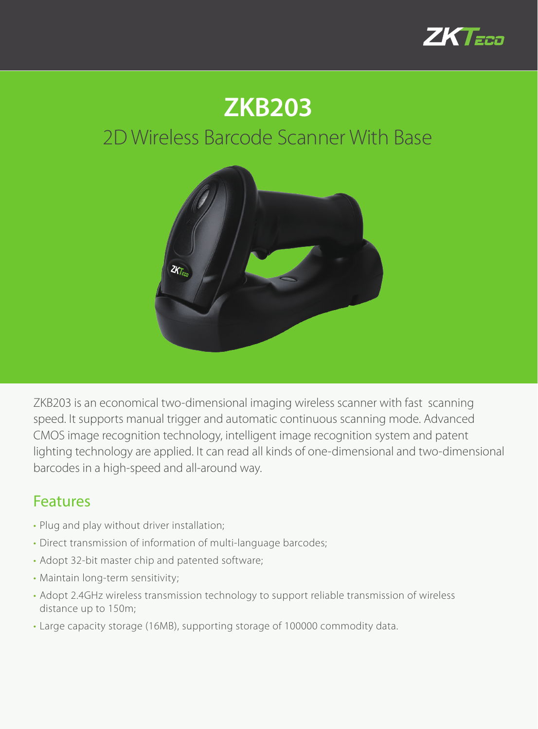

## **ZKB203**

## 2D Wireless Barcode Scanner With Base



ZKB203 is an economical two-dimensional imaging wireless scanner with fast scanning speed. It supports manual trigger and automatic continuous scanning mode. Advanced CMOS image recognition technology, intelligent image recognition system and patent lighting technology are applied. It can read all kinds of one-dimensional and two-dimensional barcodes in a high-speed and all-around way.

## Features

- Plug and play without driver installation;
- Direct transmission of information of multi-language barcodes;
- Adopt 32-bit master chip and patented software;
- Maintain long-term sensitivity;
- Adopt 2.4GHz wireless transmission technology to support reliable transmission of wireless distance up to 150m;
- Large capacity storage (16MB), supporting storage of 100000 commodity data.